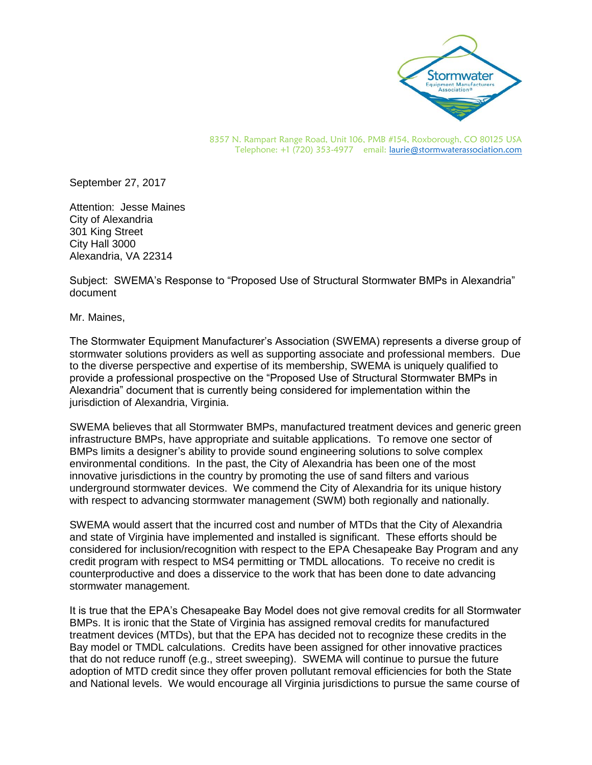

8357 N. Rampart Range Road, Unit 106, PMB #154, Roxborough, CO 80125 USA Telephone: +1 (720) 353-4977 email[: laurie@stormwaterassociation.com](mailto:laurie@stormwaterassociation.com)

September 27, 2017

Attention: Jesse Maines City of Alexandria 301 King Street City Hall 3000 Alexandria, VA 22314

Subject: SWEMA's Response to "Proposed Use of Structural Stormwater BMPs in Alexandria" document

Mr. Maines,

The Stormwater Equipment Manufacturer's Association (SWEMA) represents a diverse group of stormwater solutions providers as well as supporting associate and professional members. Due to the diverse perspective and expertise of its membership, SWEMA is uniquely qualified to provide a professional prospective on the "Proposed Use of Structural Stormwater BMPs in Alexandria" document that is currently being considered for implementation within the jurisdiction of Alexandria, Virginia.

SWEMA believes that all Stormwater BMPs, manufactured treatment devices and generic green infrastructure BMPs, have appropriate and suitable applications. To remove one sector of BMPs limits a designer's ability to provide sound engineering solutions to solve complex environmental conditions. In the past, the City of Alexandria has been one of the most innovative jurisdictions in the country by promoting the use of sand filters and various underground stormwater devices. We commend the City of Alexandria for its unique history with respect to advancing stormwater management (SWM) both regionally and nationally.

SWEMA would assert that the incurred cost and number of MTDs that the City of Alexandria and state of Virginia have implemented and installed is significant. These efforts should be considered for inclusion/recognition with respect to the EPA Chesapeake Bay Program and any credit program with respect to MS4 permitting or TMDL allocations. To receive no credit is counterproductive and does a disservice to the work that has been done to date advancing stormwater management.

It is true that the EPA's Chesapeake Bay Model does not give removal credits for all Stormwater BMPs. It is ironic that the State of Virginia has assigned removal credits for manufactured treatment devices (MTDs), but that the EPA has decided not to recognize these credits in the Bay model or TMDL calculations. Credits have been assigned for other innovative practices that do not reduce runoff (e.g., street sweeping). SWEMA will continue to pursue the future adoption of MTD credit since they offer proven pollutant removal efficiencies for both the State and National levels. We would encourage all Virginia jurisdictions to pursue the same course of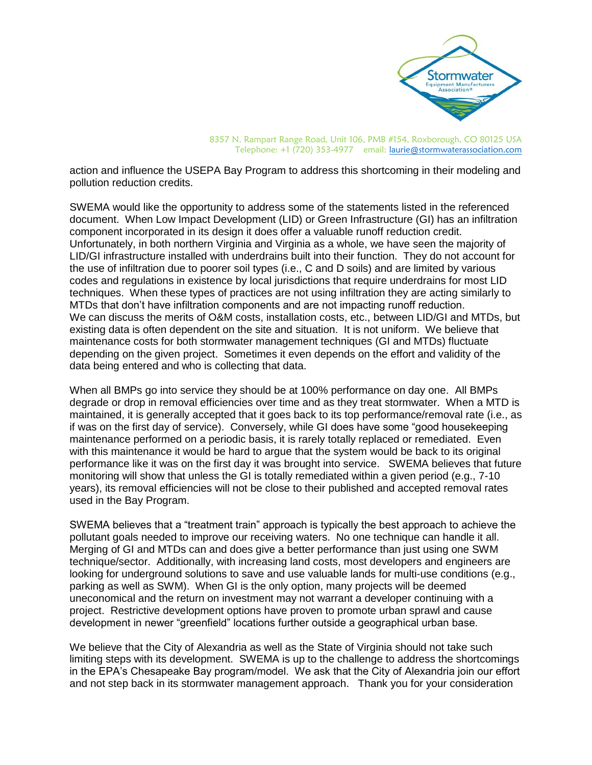

8357 N. Rampart Range Road, Unit 106, PMB #154, Roxborough, CO 80125 USA Telephone: +1 (720) 353-4977 email[: laurie@stormwaterassociation.com](mailto:laurie@stormwaterassociation.com)

action and influence the USEPA Bay Program to address this shortcoming in their modeling and pollution reduction credits.

SWEMA would like the opportunity to address some of the statements listed in the referenced document. When Low Impact Development (LID) or Green Infrastructure (GI) has an infiltration component incorporated in its design it does offer a valuable runoff reduction credit. Unfortunately, in both northern Virginia and Virginia as a whole, we have seen the majority of LID/GI infrastructure installed with underdrains built into their function. They do not account for the use of infiltration due to poorer soil types (i.e., C and D soils) and are limited by various codes and regulations in existence by local jurisdictions that require underdrains for most LID techniques. When these types of practices are not using infiltration they are acting similarly to MTDs that don't have infiltration components and are not impacting runoff reduction. We can discuss the merits of O&M costs, installation costs, etc., between LID/GI and MTDs, but existing data is often dependent on the site and situation. It is not uniform. We believe that maintenance costs for both stormwater management techniques (GI and MTDs) fluctuate depending on the given project. Sometimes it even depends on the effort and validity of the data being entered and who is collecting that data.

When all BMPs go into service they should be at 100% performance on day one. All BMPs degrade or drop in removal efficiencies over time and as they treat stormwater. When a MTD is maintained, it is generally accepted that it goes back to its top performance/removal rate (i.e., as if was on the first day of service). Conversely, while GI does have some "good housekeeping maintenance performed on a periodic basis, it is rarely totally replaced or remediated. Even with this maintenance it would be hard to argue that the system would be back to its original performance like it was on the first day it was brought into service. SWEMA believes that future monitoring will show that unless the GI is totally remediated within a given period (e.g., 7-10 years), its removal efficiencies will not be close to their published and accepted removal rates used in the Bay Program.

SWEMA believes that a "treatment train" approach is typically the best approach to achieve the pollutant goals needed to improve our receiving waters. No one technique can handle it all. Merging of GI and MTDs can and does give a better performance than just using one SWM technique/sector. Additionally, with increasing land costs, most developers and engineers are looking for underground solutions to save and use valuable lands for multi-use conditions (e.g., parking as well as SWM). When GI is the only option, many projects will be deemed uneconomical and the return on investment may not warrant a developer continuing with a project. Restrictive development options have proven to promote urban sprawl and cause development in newer "greenfield" locations further outside a geographical urban base.

We believe that the City of Alexandria as well as the State of Virginia should not take such limiting steps with its development. SWEMA is up to the challenge to address the shortcomings in the EPA's Chesapeake Bay program/model. We ask that the City of Alexandria join our effort and not step back in its stormwater management approach. Thank you for your consideration